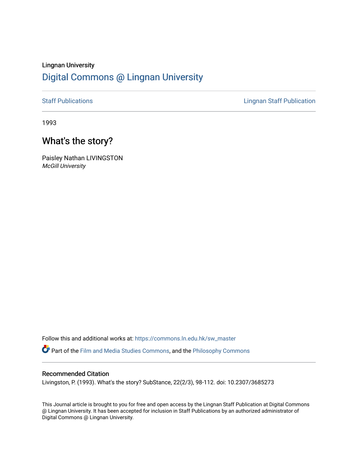# Lingnan University [Digital Commons @ Lingnan University](https://commons.ln.edu.hk/)

[Staff Publications](https://commons.ln.edu.hk/sw_master) **Staff Publications Lingnan Staff Publication** 

1993

# What's the story?

Paisley Nathan LIVINGSTON McGill University

Follow this and additional works at: [https://commons.ln.edu.hk/sw\\_master](https://commons.ln.edu.hk/sw_master?utm_source=commons.ln.edu.hk%2Fsw_master%2F144&utm_medium=PDF&utm_campaign=PDFCoverPages)  Part of the [Film and Media Studies Commons,](http://network.bepress.com/hgg/discipline/563?utm_source=commons.ln.edu.hk%2Fsw_master%2F144&utm_medium=PDF&utm_campaign=PDFCoverPages) and the [Philosophy Commons](http://network.bepress.com/hgg/discipline/525?utm_source=commons.ln.edu.hk%2Fsw_master%2F144&utm_medium=PDF&utm_campaign=PDFCoverPages) 

## Recommended Citation

Livingston, P. (1993). What's the story? SubStance, 22(2/3), 98-112. doi: 10.2307/3685273

This Journal article is brought to you for free and open access by the Lingnan Staff Publication at Digital Commons @ Lingnan University. It has been accepted for inclusion in Staff Publications by an authorized administrator of Digital Commons @ Lingnan University.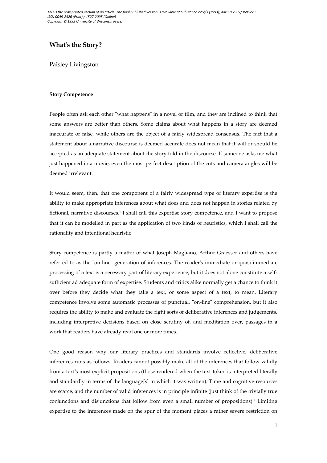## **What's the Story?**

Paisley Livingston

### **Story Competence**

People often ask each other "what happens" in a novel or film, and they are inclined to think that some answers are better than others. Some claims about what happens in a story are deemed inaccurate or false, while others are the object of a fairly widespread consensus. The fact that a statement about a narrative discourse is deemed accurate does not mean that it will or should be accepted as an adequate statement about the story told in the discourse. If someone asks me what just happened in a movie, even the most perfect description of the cuts and camera angles will be deemed irrelevant.

It would seem, then, that one component of a fairly widespread type of literary expertise is the ability to make appropriate inferences about what does and does not happen in stories related by fictional, narrative discourses.<sup>1</sup> I shall call this expertise story competence, and I want to propose that it can be modelled in part as the application of two kinds of heuristics, which I shall call the rationality and intentional heuristic

Story competence is partly a matter of what Joseph Magliano, Arthur Graesser and others have referred to as the "on-line" generation of inferences. The reader's immediate or quasi-immediate processing of a text is a necessary part of literary experience, but it does not alone constitute a selfsufficient ad adequate form of expertise. Students and critics alike normally get a chance to think it over before they decide what they take a text, or some aspect of a text, to mean. Literary competence involve some automatic processes of punctual, "on-line" comprehension, but it also requires the ability to make and evaluate the right sorts of deliberative inferences and judgements, including interpretive decisions based on close scrutiny of, and meditation over, passages in a work that readers have already read one or more times.

One good reason why our literary practices and standards involve reflective, deliberative inferences runs as follows. Readers cannot possibly make all of the inferences that follow validly from a text's most explicit propositions (those rendered when the text-token is interpreted literally and standardly in terms of the language[s] in which it was written). Time and cognitive resources are scarce, and the number of valid inferences is in principle infinite (just think of the trivially true conjunctions and disjunctions that follow from even a small number of propositions).<sup>2</sup> Limiting expertise to the inferences made on the spur of the moment places a rather severe restriction on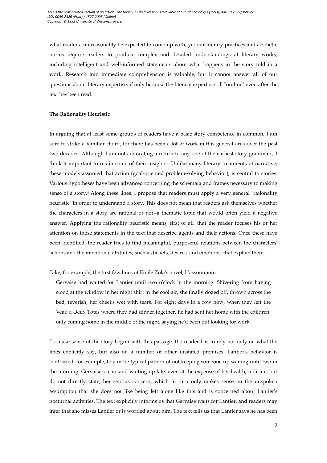what readers can reasonably be expected to come up with, yet our literary practices and aesthetic norms require readers to produce complex and detailed understandings of literary works, including intelligent and well-informed statements about what happens in the story told in a work. Research into immediate comprehension is valuable, but it cannot answer all of our questions about literary expertise, if only because the literary expert is still "on-line" even after the text has been read.

#### **The Rationality Heuristic**

In arguing that at least some groups of readers have a basic story competence in common, I am sure to strike a familiar chord, for there has been a lot of work in this general area over the past two decades. Although I am not advocating a return to any one of the earliest story grammars, I think it important to retain some of their insights.<sup>3</sup> Unlike many literary treatments of narrative, these models assumed that action (goal-oriented problem-solving behavior), is central to stories. Various hypotheses have been advanced concerning the schemata and frames necessary to making sense of a story.<sup>4</sup> Along these lines, I propose that readers must apply a very general "rationality heuristic" in order to understand a story. This does not mean that readers ask themselves whether the characters in a story are rational or not--a thematic topic that would often yield a negative answer. Applying the rationality heuristic means, first of all, that the reader focuses his or her attention on those statements in the text that describe agents and their actions. Once these have been identified, the reader tries to find meaningful, purposeful relations between the characters' actions and the intentional attitudes, such as beliefs, desires, and emotions, that explain them.

Take, for example, the first few lines of Emile Zola's novel, L'assommoir:

Gervaise had waited for Lantier until two o'clock in the morning. Shivering from having stood at the window in her night shirt in the cool air, she finally dozed off, thrown across the bed, feverish, her cheeks wet with tears. For eight days in a row now, when they left the Veau a Deux Totes where they had dinner together, he had sent her home with the children, only coming home in the middle of the night, saying he'd been out looking for work.

To make sense of the story begun with this passage, the reader has to rely not only on what the lines explicitly say, but also on a number of other unstated premises. Lantier's behavior is contrasted, for example, to a more typical pattern of not keeping someone up waiting until two in the morning. Gervaise's tears and waiting up late, even at the expense of her health, indicate, but do not directly state, her serious concern, which in turn only makes sense on the unspoken assumption that she does not like being left alone like this and is concerned about Lantier's nocturnal activities. The text explicitly informs us that Gervaise waits for Lantier, and readers may infer that she misses Lantier or is worried about him. The text tells us that Lantier says he has been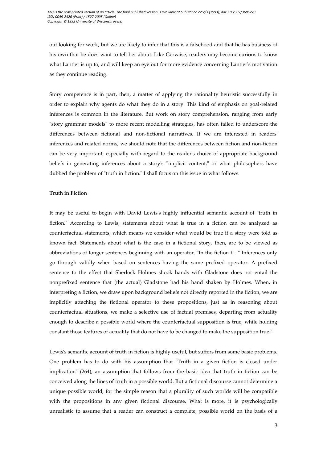out looking for work, but we are likely to infer that this is a falsehood and that he has business of his own that he does want to tell her about. Like Gervaise, readers may become curious to know what Lantier is up to, and will keep an eye out for more evidence concerning Lantier's motivation as they continue reading.

Story competence is in part, then, a matter of applying the rationality heuristic successfully in order to explain why agents do what they do in a story. This kind of emphasis on goal-related inferences is common in the literature. But work on story comprehension, ranging from early "story grammar models" to more recent modelling strategies, has often failed to underscore the differences between fictional and non-fictional narratives. If we are interested in readers' inferences and related norms, we should note that the differences between fiction and non-fiction can be very important, especially with regard to the reader's choice of appropriate background beliefs in generating inferences about a story's "implicit content," or what philosophers have dubbed the problem of "truth in fiction." I shall focus on this issue in what follows.

#### **Truth in Fiction**

It may be useful to begin with David Lewis's highly influential semantic account of "truth in fiction." According to Lewis, statements about what is true in a fiction can be analyzed as counterfactual statements, which means we consider what would be true if a story were told as known fact. Statements about what is the case in a fictional story, then, are to be viewed as abbreviations of longer sentences beginning with an operator, "In the fiction f... " Inferences only go through validly when based on sentences having the same prefixed operator. A prefixed sentence to the effect that Sherlock Holmes shook hands with Gladstone does not entail the nonprefixed sentence that (the actual) Gladstone had his hand shaken by Holmes. When, in interpreting a fiction, we draw upon background beliefs not directly reported in the fiction, we are implicitly attaching the fictional operator to these propositions, just as in reasoning about counterfactual situations, we make a selective use of factual premises, departing from actuality enough to describe a possible world where the counterfactual supposition is true, while holding constant those features of actuality that do not have to be changed to make the supposition true.<sup>5</sup>

Lewis's semantic account of truth in fiction is highly useful, but suffers from some basic problems. One problem has to do with his assumption that "Truth in a given fiction is closed under implication" (264), an assumption that follows from the basic idea that truth in fiction can be conceived along the lines of truth in a possible world. But a fictional discourse cannot determine a unique possible world, for the simple reason that a plurality of such worlds will be compatible with the propositions in any given fictional discourse. What is more, it is psychologically unrealistic to assume that a reader can construct a complete, possible world on the basis of a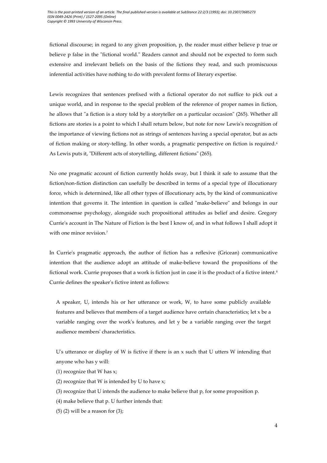fictional discourse; in regard to any given proposition, p, the reader must either believe p true or believe p false in the "fictional world." Readers cannot and should not be expected to form such extensive and irrelevant beliefs on the basis of the fictions they read, and such promiscuous inferential activities have nothing to do with prevalent forms of literary expertise.

Lewis recognizes that sentences prefixed with a fictional operator do not suffice to pick out a unique world, and in response to the special problem of the reference of proper names in fiction, he allows that "a fiction is a story told by a storyteller on a particular occasion" (265). Whether all fictions are stories is a point to which I shall return below, but note for now Lewis's recognition of the importance of viewing fictions not as strings of sentences having a special operator, but as acts of fiction making or story-telling. In other words, a pragmatic perspective on fiction is required.<sup>6</sup> As Lewis puts it, "Different acts of storytelling, different fictions" (265).

No one pragmatic account of fiction currently holds sway, but I think it safe to assume that the fiction/non-fiction distinction can usefully be described in terms of a special type of illocutionary force, which is determined, like all other types of illocutionary acts, by the kind of communicative intention that governs it. The intention in question is called "make-believe" and belongs in our commonsense psychology, alongside such propositional attitudes as belief and desire. Gregory Currie's account in The Nature of Fiction is the best I know of, and in what follows I shall adopt it with one minor revision.<sup>7</sup>

In Currie's pragmatic approach, the author of fiction has a reflexive (Gricean) communicative intention that the audience adopt an attitude of make-believe toward the propositions of the fictional work. Currie proposes that a work is fiction just in case it is the product of a fictive intent.<sup>8</sup> Currie defines the speaker's fictive intent as follows:

A speaker, U, intends his or her utterance or work, W, to have some publicly available features and believes that members of a target audience have certain characteristics; let x be a variable ranging over the work's features, and let y be a variable ranging over the target audience members' characteristics.

U's utterance or display of W is fictive if there is an  $x$  such that U utters W intending that anyone who has y will:

- (1) recognize that W has x;
- (2) recognize that W is intended by U to have x;
- (3) recognize that U intends the audience to make believe that p, for some proposition p.
- (4) make believe that p. U further intends that:
- $(5)$  (2) will be a reason for  $(3)$ ;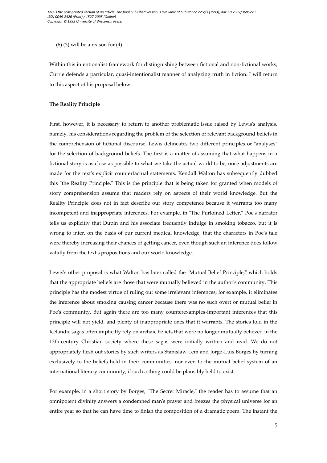$(6)$  (3) will be a reason for  $(4)$ .

Within this intentionalist framework for distinguishing between fictional and non-fictional works, Currie defends a particular, quasi-intentionalist manner of analyzing truth in fiction. I will return to this aspect of his proposal below.

### **The Reality Principle**

First, however, it is necessary to return to another problematic issue raised by Lewis's analysis, namely, his considerations regarding the problem of the selection of relevant background beliefs in the comprehension of fictional discourse. Lewis delineates two different principles or "analyses" for the selection of background beliefs. The first is a matter of assuming that what happens in a fictional story is as close as possible to what we take the actual world to be, once adjustments are made for the text's explicit counterfactual statements. Kendall Walton has subsequently dubbed this "the Reality Principle." This is the principle that is being taken for granted when models of story comprehension assume that readers rely on aspects of their world knowledge. But the Reality Principle does not in fact describe our story competence because it warrants too many incompetent and inappropriate inferences. For example, in "The Purloined Letter," Poe's narrator tells us explicitly that Dupin and his associate frequently indulge in smoking tobacco, but it is wrong to infer, on the basis of our current medical knowledge, that the characters in Poe's tale were thereby increasing their chances of getting cancer, even though such an inference does follow validly from the text's propositions and our world knowledge.

Lewis's other proposal is what Walton has later called the "Mutual Belief Principle," which holds that the appropriate beliefs are those that were mutually believed in the author's community. This principle has the modest virtue of ruling out some irrelevant inferences; for example, it eliminates the inference about smoking causing cancer because there was no such overt or mutual belief in Poe's community. But again there are too many counterexamples-important inferences that this principle will not yield, and plenty of inappropriate ones that it warrants. The stories told in the Icelandic sagas often implicitly rely on archaic beliefs that were no longer mutually believed in the 13th-century Christian society where these sagas were initially written and read. We do not appropriately flesh out stories by such writers as Stanislaw Lem and Jorge-Luis Borges by turning exclusively to the beliefs held in their communities, nor even to the mutual belief system of an international literary community, if such a thing could be plausibly held to exist.

For example, in a short story by Borges, "The Secret Miracle," the reader has to assume that an omnipotent divinity answers a condemned man's prayer and freezes the physical universe for an entire year so that he can have time to finish the composition of a dramatic poem. The instant the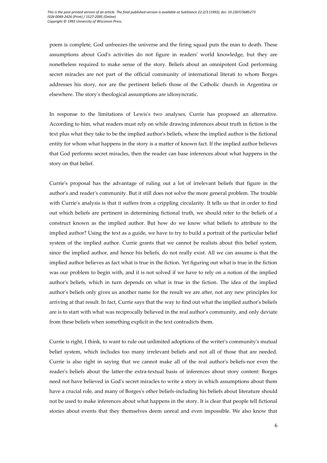poem is complete, God unfreezes the universe and the firing squad puts the man to death. These assumptions about God's activities do not figure in readers' world knowledge, but they are nonetheless required to make sense of the story. Beliefs about an omnipotent God performing secret miracles are not part of the official community of international literati to whom Borges addresses his story, nor are the pertinent beliefs those of the Catholic church in Argentina or elsewhere. The story's theological assumptions are idiosyncratic.

In response to the limitations of Lewis's two analyses, Currie has proposed an alternative. According to him, what readers must rely on while drawing inferences about truth in fiction is the text plus what they take to be the implied author's beliefs, where the implied author is the fictional entity for whom what happens in the story is a matter of known fact. If the implied author believes that God performs secret miracles, then the reader can base inferences about what happens in the story on that belief.

Currie's proposal has the advantage of ruling out a lot of irrelevant beliefs that figure in the author's and reader's community. But it still does not solve the more general problem. The trouble with Currie's analysis is that it suffers from a crippling circularity. It tells us that in order to find out which beliefs are pertinent in determining fictional truth, we should refer to the beliefs of a construct known as the implied author. But how do we know what beliefs to attribute to the implied author? Using the text as a guide, we have to try to build a portrait of the particular belief system of the implied author. Currie grants that we cannot be realists about this belief system, since the implied author, and hence his beliefs, do not really exist. All we can assume is that the implied author believes as fact what is true in the fiction. Yet figuring out what is true in the fiction was our problem to begin with, and it is not solved if we have to rely on a notion of the implied author's beliefs, which in turn depends on what is true in the fiction. The idea of the implied author's beliefs only gives us another name for the result we are after, not any new principles for arriving at that result. In fact, Currie says that the way to find out what the implied author's beliefs are is to start with what was reciprocally believed in the real author's community, and only deviate from these beliefs when something explicit in the text contradicts them.

Currie is right, I think, to want to rule out unlimited adoptions of the writer's community's mutual belief system, which includes too many irrelevant beliefs and not all of those that are needed. Currie is also right in saying that we cannot make all of the real author's beliefs-nor even the reader's beliefs about the latter-the extra-textual basis of inferences about story content: Borges need not have believed in God's secret miracles to write a story in which assumptions about them have a crucial role, and many of Borges's other beliefs-including his beliefs about literature should not be used to make inferences about what happens in the story. It is clear that people tell fictional stories about events that they themselves deem unreal and even impossible. We also know that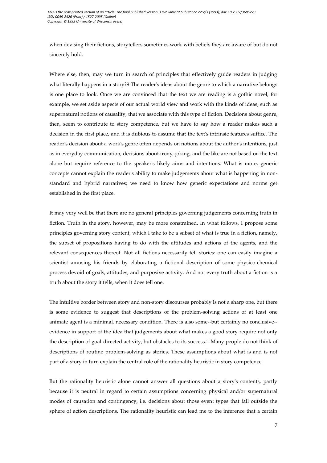when devising their fictions, storytellers sometimes work with beliefs they are aware of but do not sincerely hold.

Where else, then, may we turn in search of principles that effectively guide readers in judging what literally happens in a story?9 The reader's ideas about the genre to which a narrative belongs is one place to look. Once we are convinced that the text we are reading is a gothic novel, for example, we set aside aspects of our actual world view and work with the kinds of ideas, such as supernatural notions of causality, that we associate with this type of fiction. Decisions about genre, then, seem to contribute to story competence, but we have to say how a reader makes such a decision in the first place, and it is dubious to assume that the text's intrinsic features suffice. The reader's decision about a work's genre often depends on notions about the author's intentions, just as in everyday communication, decisions about irony, joking, and the like are not based on the text alone but require reference to the speaker's likely aims and intentions. What is more, generic concepts cannot explain the reader's ability to make judgements about what is happening in nonstandard and hybrid narratives; we need to know how generic expectations and norms get established in the first place.

It may very well be that there are no general principles governing judgements concerning truth in fiction. Truth in the story, however, may be more constrained. In what follows, I propose some principles governing story content, which I take to be a subset of what is true in a fiction, namely, the subset of propositions having to do with the attitudes and actions of the agents, and the relevant consequences thereof. Not all fictions necessarily tell stories: one can easily imagine a scientist amusing his friends by elaborating a fictional description of some physico-chemical process devoid of goals, attitudes, and purposive activity. And not every truth about a fiction is a truth about the story it tells, when it does tell one.

The intuitive border between story and non-story discourses probably is not a sharp one, but there is some evidence to suggest that descriptions of the problem-solving actions of at least one animate agent is a minimal, necessary condition. There is also some--but certainly no conclusive- evidence in support of the idea that judgements about what makes a good story require not only the description of goal-directed activity, but obstacles to its success.10 Many people do not think of descriptions of routine problem-solving as stories. These assumptions about what is and is not part of a story in turn explain the central role of the rationality heuristic in story competence.

But the rationality heuristic alone cannot answer all questions about a story's contents, partly because it is neutral in regard to certain assumptions concerning physical and/or supernatural modes of causation and contingency, i.e. decisions about those event types that fall outside the sphere of action descriptions. The rationality heuristic can lead me to the inference that a certain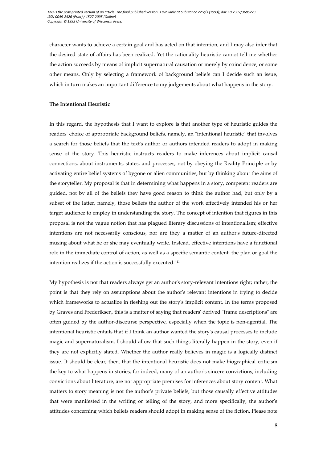character wants to achieve a certain goal and has acted on that intention, and I may also infer that the desired state of affairs has been realized. Yet the rationality heuristic cannot tell me whether the action succeeds by means of implicit supernatural causation or merely by coincidence, or some other means. Only by selecting a framework of background beliefs can I decide such an issue, which in turn makes an important difference to my judgements about what happens in the story.

#### **The Intentional Heuristic**

In this regard, the hypothesis that I want to explore is that another type of heuristic guides the readers' choice of appropriate background beliefs, namely, an "intentional heuristic" that involves a search for those beliefs that the text's author or authors intended readers to adopt in making sense of the story. This heuristic instructs readers to make inferences about implicit causal connections, about instruments, states, and processes, not by obeying the Reality Principle or by activating entire belief systems of bygone or alien communities, but by thinking about the aims of the storyteller. My proposal is that in determining what happens in a story, competent readers are guided, not by all of the beliefs they have good reason to think the author had, but only by a subset of the latter, namely, those beliefs the author of the work effectively intended his or her target audience to employ in understanding the story. The concept of intention that figures in this proposal is not the vague notion that has plagued literary discussions of intentionalism; effective intentions are not necessarily conscious, nor are they a matter of an author's future-directed musing about what he or she may eventually write. Instead, effective intentions have a functional role in the immediate control of action, as well as a specific semantic content, the plan or goal the intention realizes if the action is successfully executed."<sup>11</sup>

My hypothesis is not that readers always get an author's story-relevant intentions right; rather, the point is that they rely on assumptions about the author's relevant intentions in trying to decide which frameworks to actualize in fleshing out the story's implicit content. In the terms proposed by Graves and Frederiksen, this is a matter of saying that readers' derived "frame descriptions" are often guided by the author-discourse perspective, especially when the topic is non-agential. The intentional heuristic entails that if I think an author wanted the story's causal processes to include magic and supernaturalism, I should allow that such things literally happen in the story, even if they are not explicitly stated. Whether the author really believes in magic is a logically distinct issue. It should be clear, then, that the intentional heuristic does not make biographical criticism the key to what happens in stories, for indeed, many of an author's sincere convictions, including convictions about literature, are not appropriate premises for inferences about story content. What matters to story meaning is not the author's private beliefs, but those causally effective attitudes that were manifested in the writing or telling of the story, and more specifically, the author's attitudes concerning which beliefs readers should adopt in making sense of the fiction. Please note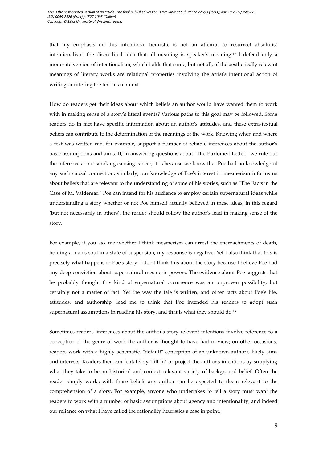that my emphasis on this intentional heuristic is not an attempt to resurrect absolutist intentionalism, the discredited idea that all meaning is speaker's meaning.12 I defend only a moderate version of intentionalism, which holds that some, but not all, of the aesthetically relevant meanings of literary works are relational properties involving the artist's intentional action of writing or uttering the text in a context.

How do readers get their ideas about which beliefs an author would have wanted them to work with in making sense of a story's literal events? Various paths to this goal may be followed. Some readers do in fact have specific information about an author's attitudes, and these extra-textual beliefs can contribute to the determination of the meanings of the work. Knowing when and where a text was written can, for example, support a number of reliable inferences about the author's basic assumptions and aims. If, in answering questions about "The Purloined Letter," we rule out the inference about smoking causing cancer, it is because we know that Poe had no knowledge of any such causal connection; similarly, our knowledge of Poe's interest in mesmerism informs us about beliefs that are relevant to the understanding of some of his stories, such as "The Facts in the Case of M. Valdemar." Poe can intend for his audience to employ certain supernatural ideas while understanding a story whether or not Poe himself actually believed in these ideas; in this regard (but not necessarily in others), the reader should follow the author's lead in making sense of the story.

For example, if you ask me whether I think mesmerism can arrest the encroachments of death, holding a man's soul in a state of suspension, my response is negative. Yet I also think that this is precisely what happens in Poe's story. I don't think this about the story because I believe Poe had any deep conviction about supernatural mesmeric powers. The evidence about Poe suggests that he probably thought this kind of supernatural occurrence was an unproven possibility, but certainly not a matter of fact. Yet the way the tale is written, and other facts about Poe's life, attitudes, and authorship, lead me to think that Poe intended his readers to adopt such supernatural assumptions in reading his story, and that is what they should do.<sup>13</sup>

Sometimes readers' inferences about the author's story-relevant intentions involve reference to a conception of the genre of work the author is thought to have had in view; on other occasions, readers work with a highly schematic, "default" conception of an unknown author's likely aims and interests. Readers then can tentatively "fill in" or project the author's intentions by supplying what they take to be an historical and context relevant variety of background belief. Often the reader simply works with those beliefs any author can be expected to deem relevant to the comprehension of a story. For example, anyone who undertakes to tell a story must want the readers to work with a number of basic assumptions about agency and intentionality, and indeed our reliance on what I have called the rationality heuristics a case in point.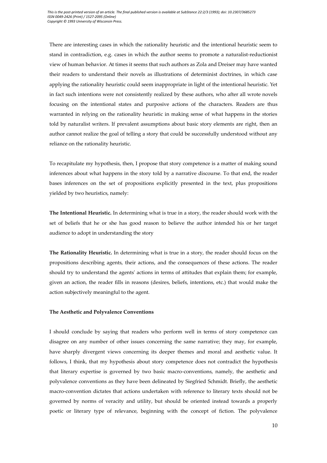There are interesting cases in which the rationality heuristic and the intentional heuristic seem to stand in contradiction, e.g. cases in which the author seems to promote a naturalist-reductionist view of human behavior. At times it seems that such authors as Zola and Dreiser may have wanted their readers to understand their novels as illustrations of determinist doctrines, in which case applying the rationality heuristic could seem inappropriate in light of the intentional heuristic. Yet in fact such intentions were not consistently realized by these authors, who after all wrote novels focusing on the intentional states and purposive actions of the characters. Readers are thus warranted in relying on the rationality heuristic in making sense of what happens in the stories told by naturalist writers. If prevalent assumptions about basic story elements are right, then an author cannot realize the goal of telling a story that could be successfully understood without any reliance on the rationality heuristic.

To recapitulate my hypothesis, then, I propose that story competence is a matter of making sound inferences about what happens in the story told by a narrative discourse. To that end, the reader bases inferences on the set of propositions explicitly presented in the text, plus propositions yielded by two heuristics, namely:

**The Intentional Heuristic.** In determining what is true in a story, the reader should work with the set of beliefs that he or she has good reason to believe the author intended his or her target audience to adopt in understanding the story

**The Rationality Heuristic.** In determining what is true in a story, the reader should focus on the propositions describing agents, their actions, and the consequences of these actions. The reader should try to understand the agents' actions in terms of attitudes that explain them; for example, given an action, the reader fills in reasons (desires, beliefs, intentions, etc.) that would make the action subjectively meaningful to the agent.

#### **The Aesthetic and Polyvalence Conventions**

I should conclude by saying that readers who perform well in terms of story competence can disagree on any number of other issues concerning the same narrative; they may, for example, have sharply divergent views concerning its deeper themes and moral and aesthetic value. It follows, I think, that my hypothesis about story competence does not contradict the hypothesis that literary expertise is governed by two basic macro-conventions, namely, the aesthetic and polyvalence conventions as they have been delineated by Siegfried Schmidt. Briefly, the aesthetic macro-convention dictates that actions undertaken with reference to literary texts should not be governed by norms of veracity and utility, but should be oriented instead towards a properly poetic or literary type of relevance, beginning with the concept of fiction. The polyvalence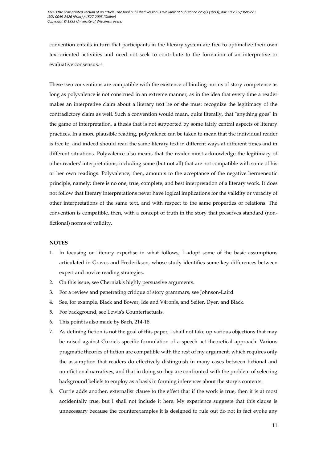convention entails in turn that participants in the literary system are free to optimalize their own text-oriented activities and need not seek to contribute to the formation of an interpretive or evaluative consensus.<sup>13</sup>

These two conventions are compatible with the existence of binding norms of story competence as long as polyvalence is not construed in an extreme manner, as in the idea that every time a reader makes an interpretive claim about a literary text he or she must recognize the legitimacy of the contradictory claim as well. Such a convention would mean, quite literally, that "anything goes" in the game of interpretation, a thesis that is not supported by some fairly central aspects of literary practices. In a more plausible reading, polyvalence can be taken to mean that the individual reader is free to, and indeed should read the same literary text in different ways at different times and in different situations. Polyvalence also means that the reader must acknowledge the legitimacy of other readers' interpretations, including some (but not all) that are not compatible with some of his or her own readings. Polyvalence, then, amounts to the acceptance of the negative hermeneutic principle, namely: there is no one, true, complete, and best interpretation of a literary work. It does not follow that literary interpretations never have logical implications for the validity or veracity of other interpretations of the same text, and with respect to the same properties or relations. The convention is compatible, then, with a concept of truth in the story that preserves standard (nonfictional) norms of validity.

#### **NOTES**

- 1. In focusing on literary expertise in what follows, I adopt some of the basic assumptions articulated in Graves and Frederikson, whose study identifies some key differences between expert and novice reading strategies.
- 2. On this issue, see Cherniak's highly persuasive arguments.
- 3. For a review and penetrating critique of story grammars, see Johnson-Laird.
- 4. See, for example, Black and Bower, Ide and V4ronis, and Seifer, Dyer, and Black.
- 5. For background, see Lewis's Counterfactuals.
- 6. This point is also made by Bach, 214-18.
- 7. As defining fiction is not the goal of this paper, I shall not take up various objections that may be raised against Currie's specific formulation of a speech act theoretical approach. Various pragmatic theories of fiction are compatible with the rest of my argument, which requires only the assumption that readers do effectively distinguish in many cases between fictional and non-fictional narratives, and that in doing so they are confronted with the problem of selecting background beliefs to employ as a basis in forming inferences about the story's contents.
- 8. Currie adds another, externalist clause to the effect that if the work is true, then it is at most accidentally true, but I shall not include it here. My experience suggests that this clause is unnecessary because the counterexamples it is designed to rule out do not in fact evoke any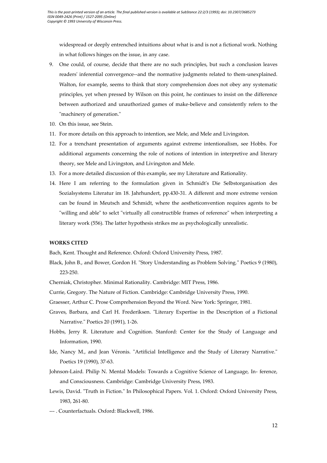widespread or deeply entrenched intuitions about what is and is not a fictional work. Nothing in what follows hinges on the issue, in any case.

- 9. One could, of course, decide that there are no such principles, but such a conclusion leaves readers' inferential convergence--and the normative judgments related to them-unexplained. Walton, for example, seems to think that story comprehension does not obey any systematic principles, yet when pressed by Wilson on this point, he continues to insist on the difference between authorized and unauthorized games of make-believe and consistently refers to the "machinery of generation."
- 10. On this issue, see Stein.
- 11. For more details on this approach to intention, see Mele, and Mele and Livingston.
- 12. For a trenchant presentation of arguments against extreme intentionalism, see Hobbs. For additional arguments concerning the role of notions of intention in interpretive and literary theory, see Mele and Livingston, and Livingston and Mele.
- 13. For a more detailed discussion of this example, see my Literature and Rationality.
- 14. Here I am referring to the formulation given in Schmidt's Die Selbstorganisation des Sozialsystems Literatur im 18. Jahrhundert, pp.430-31. A different and more extreme version can be found in Meutsch and Schmidt, where the aestheticonvention requires agents to be "willing and able" to selct "virtually all constructible frames of reference" when interpreting a literary work (556). The latter hypothesis strikes me as psychologically unrealistic.

### **WORKS CITED**

Bach, Kent. Thought and Reference. Oxford: Oxford University Press, 1987.

- Black, John B., and Bower, Gordon H. "Story Understanding as Problem Solving." Poetics 9 (1980), 223-250.
- Cherniak, Christopher. Minimal Rationality. Cambridge: MIT Press, 1986.
- Currie, Gregory. The Nature of Fiction. Cambridge: Cambridge University Press, 1990.
- Graesser, Arthur C. Prose Comprehension Beyond the Word. New York: Springer, 1981.
- Graves, Barbara, and Carl H. Frederiksen. "Literary Expertise in the Description of a Fictional Narrative." Poetics 20 (1991), 1-26.
- Hobbs, Jerry R. Literature and Cognition. Stanford: Center for the Study of Language and Information, 1990.
- Ide, Nancy M., and Jean Véronis. "Artificial Intelligence and the Study of Literary Narrative." Poetics 19 (1990), 37-63.
- Johnson-Laird. Philip N. Mental Models: Towards a Cognitive Science of Language, In- ference, and Consciousness. Cambridge: Cambridge University Press, 1983.
- Lewis, David. "Truth in Fiction." In Philosophical Papers. Vol. 1. Oxford: Oxford University Press, 1983, 261-80.
- --- . Counterfactuals. Oxford: Blackwell, 1986.